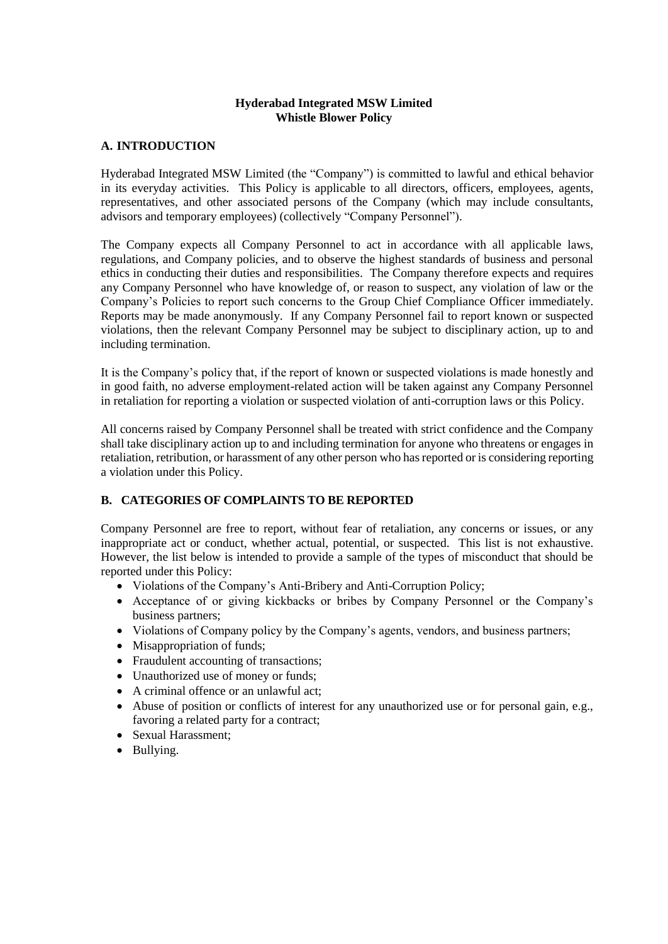## **Hyderabad Integrated MSW Limited Whistle Blower Policy**

## **A. INTRODUCTION**

Hyderabad Integrated MSW Limited (the "Company") is committed to lawful and ethical behavior in its everyday activities. This Policy is applicable to all directors, officers, employees, agents, representatives, and other associated persons of the Company (which may include consultants, advisors and temporary employees) (collectively "Company Personnel").

The Company expects all Company Personnel to act in accordance with all applicable laws, regulations, and Company policies, and to observe the highest standards of business and personal ethics in conducting their duties and responsibilities. The Company therefore expects and requires any Company Personnel who have knowledge of, or reason to suspect, any violation of law or the Company's Policies to report such concerns to the Group Chief Compliance Officer immediately. Reports may be made anonymously. If any Company Personnel fail to report known or suspected violations, then the relevant Company Personnel may be subject to disciplinary action, up to and including termination.

It is the Company's policy that, if the report of known or suspected violations is made honestly and in good faith, no adverse employment-related action will be taken against any Company Personnel in retaliation for reporting a violation or suspected violation of anti-corruption laws or this Policy.

All concerns raised by Company Personnel shall be treated with strict confidence and the Company shall take disciplinary action up to and including termination for anyone who threatens or engages in retaliation, retribution, or harassment of any other person who has reported or is considering reporting a violation under this Policy.

# **B. CATEGORIES OF COMPLAINTS TO BE REPORTED**

Company Personnel are free to report, without fear of retaliation, any concerns or issues, or any inappropriate act or conduct, whether actual, potential, or suspected. This list is not exhaustive. However, the list below is intended to provide a sample of the types of misconduct that should be reported under this Policy:

- Violations of the Company's Anti-Bribery and Anti-Corruption Policy;
- Acceptance of or giving kickbacks or bribes by Company Personnel or the Company's business partners;
- Violations of Company policy by the Company's agents, vendors, and business partners;
- Misappropriation of funds;
- Fraudulent accounting of transactions;
- Unauthorized use of money or funds;
- A criminal offence or an unlawful act;
- Abuse of position or conflicts of interest for any unauthorized use or for personal gain, e.g., favoring a related party for a contract;
- Sexual Harassment;
- Bullying.